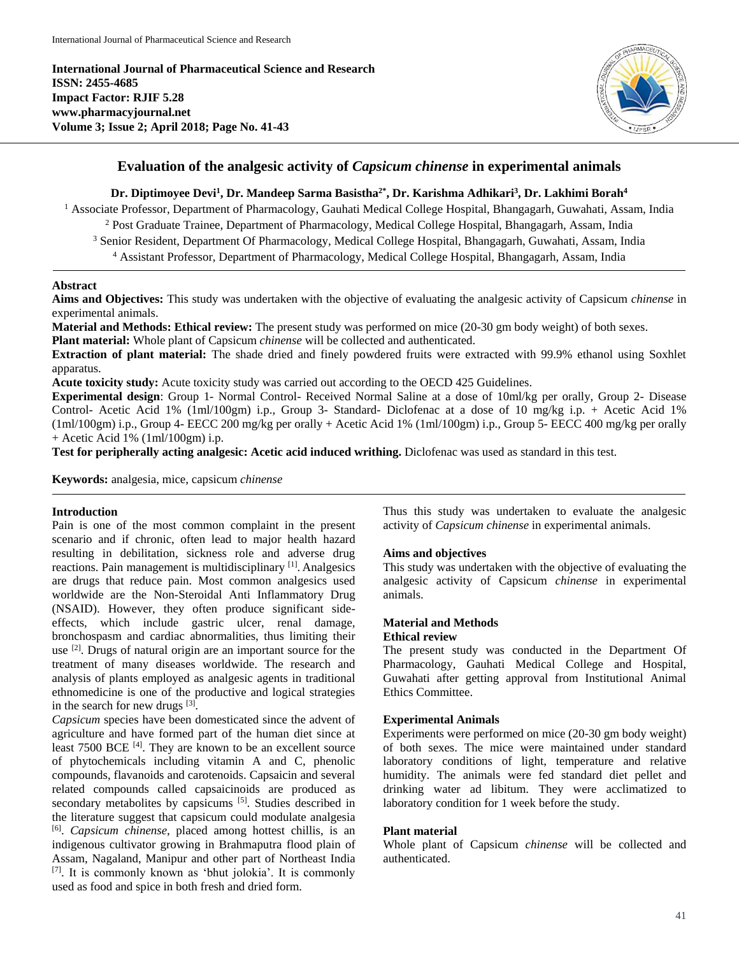

# **Evaluation of the analgesic activity of** *Capsicum chinense* **in experimental animals**

## **Dr. Diptimoyee Devi<sup>1</sup> , Dr. Mandeep Sarma Basistha2\* , Dr. Karishma Adhikari<sup>3</sup> , Dr. Lakhimi Borah<sup>4</sup>**

<sup>1</sup> Associate Professor, Department of Pharmacology, Gauhati Medical College Hospital, Bhangagarh, Guwahati, Assam, India

<sup>2</sup> Post Graduate Trainee, Department of Pharmacology, Medical College Hospital, Bhangagarh, Assam, India

<sup>3</sup> Senior Resident, Department Of Pharmacology, Medical College Hospital, Bhangagarh, Guwahati, Assam, India <sup>4</sup> Assistant Professor, Department of Pharmacology, Medical College Hospital, Bhangagarh, Assam, India

## **Abstract**

**Aims and Objectives:** This study was undertaken with the objective of evaluating the analgesic activity of Capsicum *chinense* in experimental animals.

**Material and Methods: Ethical review:** The present study was performed on mice (20-30 gm body weight) of both sexes.

**Plant material:** Whole plant of Capsicum *chinense* will be collected and authenticated.

**Extraction of plant material:** The shade dried and finely powdered fruits were extracted with 99.9% ethanol using Soxhlet apparatus.

**Acute toxicity study:** Acute toxicity study was carried out according to the OECD 425 Guidelines.

**Experimental design**: Group 1- Normal Control- Received Normal Saline at a dose of 10ml/kg per orally, Group 2- Disease Control- Acetic Acid 1% (1ml/100gm) i.p., Group 3- Standard- Diclofenac at a dose of 10 mg/kg i.p. + Acetic Acid 1%  $(1 \text{ml}/100 \text{gm})$  i.p., Group 4- EECC 200 mg/kg per orally + Acetic Acid 1%  $(1 \text{ml}/100 \text{gm})$  i.p., Group 5- EECC 400 mg/kg per orally + Acetic Acid 1% (1ml/100gm) i.p.

**Test for peripherally acting analgesic: Acetic acid induced writhing.** Diclofenac was used as standard in this test.

**Keywords:** analgesia, mice, capsicum *chinense*

## **Introduction**

Pain is one of the most common complaint in the present scenario and if chronic, often lead to major health hazard resulting in debilitation, sickness role and adverse drug reactions. Pain management is multidisciplinary [1]. Analgesics are drugs that reduce pain. Most common analgesics used worldwide are the Non-Steroidal Anti Inflammatory Drug (NSAID). However, they often produce significant sideeffects, which include gastric ulcer, renal damage, bronchospasm and cardiac abnormalities, thus limiting their use  $[2]$ . Drugs of natural origin are an important source for the treatment of many diseases worldwide. The research and analysis of plants employed as analgesic agents in traditional ethnomedicine is one of the productive and logical strategies in the search for new drugs [3].

*Capsicum* species have been domesticated since the advent of agriculture and have formed part of the human diet since at least 7500 BCE<sup>[4]</sup>. They are known to be an excellent source of phytochemicals including vitamin A and C, phenolic compounds, flavanoids and carotenoids. Capsaicin and several related compounds called capsaicinoids are produced as secondary metabolites by capsicums [5]. Studies described in the literature suggest that capsicum could modulate analgesia [6] . *Capsicum chinense*, placed among hottest chillis, is an indigenous cultivator growing in Brahmaputra flood plain of Assam, Nagaland, Manipur and other part of Northeast India [7] . It is commonly known as 'bhut jolokia'. It is commonly used as food and spice in both fresh and dried form.

Thus this study was undertaken to evaluate the analgesic activity of *Capsicum chinense* in experimental animals.

## **Aims and objectives**

This study was undertaken with the objective of evaluating the analgesic activity of Capsicum *chinense* in experimental animals.

# **Material and Methods**

# **Ethical review**

The present study was conducted in the Department Of Pharmacology, Gauhati Medical College and Hospital, Guwahati after getting approval from Institutional Animal Ethics Committee.

## **Experimental Animals**

Experiments were performed on mice (20-30 gm body weight) of both sexes. The mice were maintained under standard laboratory conditions of light, temperature and relative humidity. The animals were fed standard diet pellet and drinking water ad libitum. They were acclimatized to laboratory condition for 1 week before the study.

## **Plant material**

Whole plant of Capsicum *chinense* will be collected and authenticated.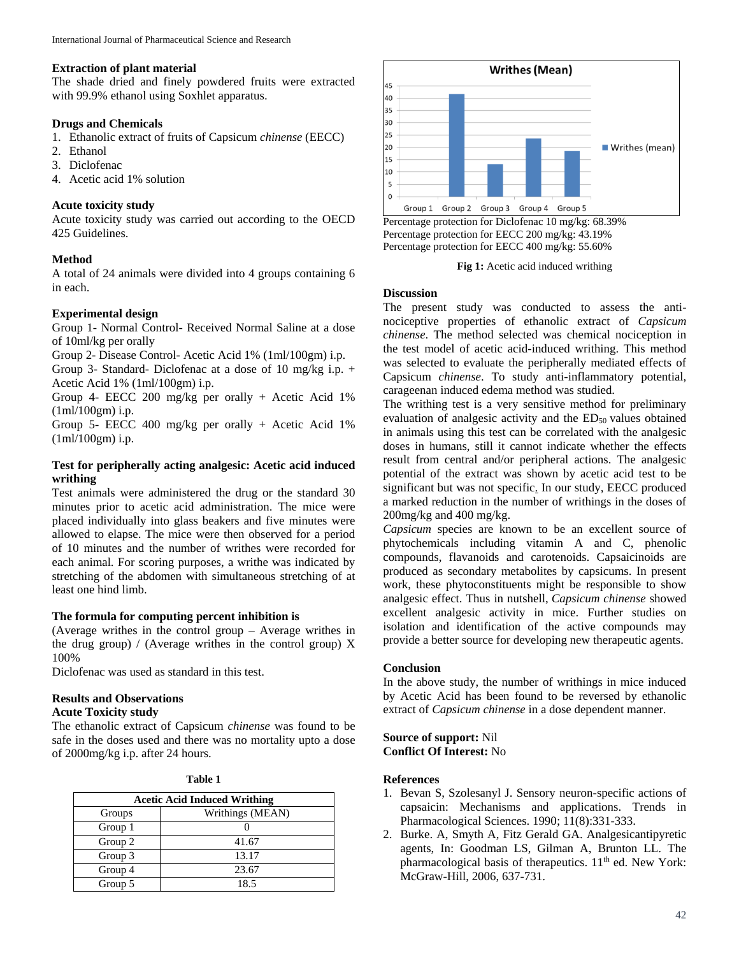## **Extraction of plant material**

The shade dried and finely powdered fruits were extracted with 99.9% ethanol using Soxhlet apparatus.

## **Drugs and Chemicals**

- 1. Ethanolic extract of fruits of Capsicum *chinense* (EECC)
- 2. Ethanol
- 3. Diclofenac
- 4. Acetic acid 1% solution

## **Acute toxicity study**

Acute toxicity study was carried out according to the OECD 425 Guidelines.

## **Method**

A total of 24 animals were divided into 4 groups containing 6 in each.

## **Experimental design**

Group 1- Normal Control- Received Normal Saline at a dose of 10ml/kg per orally

Group 2- Disease Control- Acetic Acid 1% (1ml/100gm) i.p.

Group 3- Standard- Diclofenac at a dose of 10 mg/kg i.p.  $+$ Acetic Acid 1% (1ml/100gm) i.p.

Group 4- EECC 200 mg/kg per orally + Acetic Acid 1% (1ml/100gm) i.p.

Group 5- EECC 400 mg/kg per orally + Acetic Acid 1% (1ml/100gm) i.p.

## **Test for peripherally acting analgesic: Acetic acid induced writhing**

Test animals were administered the drug or the standard 30 minutes prior to acetic acid administration. The mice were placed individually into glass beakers and five minutes were allowed to elapse. The mice were then observed for a period of 10 minutes and the number of writhes were recorded for each animal. For scoring purposes, a writhe was indicated by stretching of the abdomen with simultaneous stretching of at least one hind limb.

# **The formula for computing percent inhibition is**

(Average writhes in the control group – Average writhes in the drug group) / (Average writhes in the control group)  $X$ 100%

Diclofenac was used as standard in this test.

# **Results and Observations**

# **Acute Toxicity study**

The ethanolic extract of Capsicum *chinense* was found to be safe in the doses used and there was no mortality upto a dose of 2000mg/kg i.p. after 24 hours.

| ır<br>ы<br>n |  |
|--------------|--|
|--------------|--|

| <b>Acetic Acid Induced Writhing</b> |                  |
|-------------------------------------|------------------|
| Groups                              | Writhings (MEAN) |
| Group 1                             |                  |
| Group 2                             | 41.67            |
| Group 3                             | 13.17            |
| Group 4                             | 23.67            |
| Group 5                             | 18.5             |



Percentage protection for Diclofenac 10 mg/kg: 68.39% Percentage protection for EECC 200 mg/kg: 43.19% Percentage protection for EECC 400 mg/kg: 55.60%

**Fig 1:** Acetic acid induced writhing

#### **Discussion**

The present study was conducted to assess the antinociceptive properties of ethanolic extract of *Capsicum chinense*. The method selected was chemical nociception in the test model of acetic acid-induced writhing. This method was selected to evaluate the peripherally mediated effects of Capsicum *chinense*. To study anti-inflammatory potential, carageenan induced edema method was studied.

The writhing test is a very sensitive method for preliminary evaluation of analgesic activity and the  $ED<sub>50</sub>$  values obtained in animals using this test can be correlated with the analgesic doses in humans, still it cannot indicate whether the effects result from central and/or peripheral actions. The analgesic potential of the extract was shown by acetic acid test to be significant but was not specific. In our study, EECC produced a marked reduction in the number of writhings in the doses of 200mg/kg and 400 mg/kg.

*Capsicum* species are known to be an excellent source of phytochemicals including vitamin A and C, phenolic compounds, flavanoids and carotenoids. Capsaicinoids are produced as secondary metabolites by capsicums. In present work, these phytoconstituents might be responsible to show analgesic effect. Thus in nutshell, *Capsicum chinense* showed excellent analgesic activity in mice. Further studies on isolation and identification of the active compounds may provide a better source for developing new therapeutic agents.

#### **Conclusion**

In the above study, the number of writhings in mice induced by Acetic Acid has been found to be reversed by ethanolic extract of *Capsicum chinense* in a dose dependent manner.

## **Source of support:** Nil **Conflict Of Interest:** No

#### **References**

- 1. Bevan S, Szolesanyl J. Sensory neuron-specific actions of capsaicin: Mechanisms and applications. Trends in Pharmacological Sciences. 1990; 11(8):331-333.
- 2. Burke. A, Smyth A, Fitz Gerald GA. Analgesicantipyretic agents, In: Goodman LS, Gilman A, Brunton LL. The pharmacological basis of therapeutics. 11<sup>th</sup> ed. New York: McGraw-Hill, 2006, 637-731.